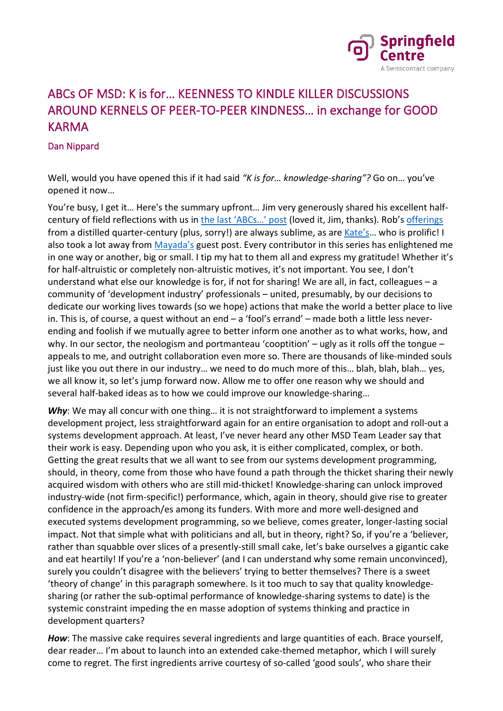

## ABCs OF MSD: K is for… KEENNESS TO KINDLE KILLER DISCUSSIONS AROUND KERNELS OF PEER-TO-PEER KINDNESS… in exchange for GOOD KARMA

## Dan Nippard

Well, would you have opened this if it had said *"K is for… knowledge-sharing"?* Go on… you've opened it now…

You're busy, I get it… Here's the summary upfront… Jim very generously shared his excellent halfcentury of field reflections with us in the last 'ABCs...' post (loved it, Jim, thanks). Rob's [offerings](https://www.springfieldcentre.com/abcs-of-msd-h-is-for-hubris-horoscopes/) from a distilled quarter-century (plus, sorry!) are always sublime, as ar[e Kate's…](https://www.springfieldcentre.com/abcs-of-msd-g-is-for-greener-development/) who is prolific! I also took a lot away from [Mayada's](https://www.springfieldcentre.com/abcs-of-msd-f-is-for-financial-inclusion/) guest post. Every contributor in this series has enlightened me in one way or another, big or small. I tip my hat to them all and express my gratitude! Whether it's for half-altruistic or completely non-altruistic motives, it's not important. You see, I don't understand what else our knowledge is for, if not for sharing! We are all, in fact, colleagues – a community of 'development industry' professionals – united, presumably, by our decisions to dedicate our working lives towards (so we hope) actions that make the world a better place to live in. This is, of course, a quest without an end – a 'fool's errand' – made both a little less neverending and foolish if we mutually agree to better inform one another as to what works, how, and why. In our sector, the neologism and portmanteau 'cooptition' – ugly as it rolls off the tongue – appeals to me, and outright collaboration even more so. There are thousands of like-minded souls just like you out there in our industry… we need to do much more of this… blah, blah, blah… yes, we all know it, so let's jump forward now. Allow me to offer one reason why we should and several half-baked ideas as to how we could improve our knowledge-sharing…

Why: We may all concur with one thing... it is not straightforward to implement a systems development project, less straightforward again for an entire organisation to adopt and roll-out a systems development approach. At least, I've never heard any other MSD Team Leader say that their work is easy. Depending upon who you ask, it is either complicated, complex, or both. Getting the great results that we all want to see from our systems development programming, should, in theory, come from those who have found a path through the thicket sharing their newly acquired wisdom with others who are still mid-thicket! Knowledge-sharing can unlock improved industry-wide (not firm-specific!) performance, which, again in theory, should give rise to greater confidence in the approach/es among its funders. With more and more well-designed and executed systems development programming, so we believe, comes greater, longer-lasting social impact. Not that simple what with politicians and all, but in theory, right? So, if you're a 'believer, rather than squabble over slices of a presently-still small cake, let's bake ourselves a gigantic cake and eat heartily! If you're a 'non-believer' (and I can understand why some remain unconvinced), surely you couldn't disagree with the believers' trying to better themselves? There is a sweet 'theory of change' in this paragraph somewhere. Is it too much to say that quality knowledgesharing (or rather the sub-optimal performance of knowledge-sharing systems to date) is the systemic constraint impeding the en masse adoption of systems thinking and practice in development quarters?

*How*: The massive cake requires several ingredients and large quantities of each. Brace yourself, dear reader… I'm about to launch into an extended cake-themed metaphor, which I will surely come to regret. The first ingredients arrive courtesy of so-called 'good souls', who share their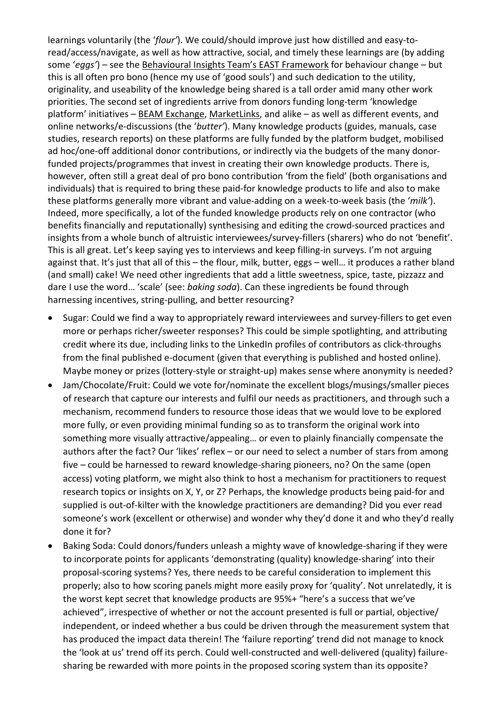learnings voluntarily (the '*flour'*). We could/should improve just how distilled and easy-toread/access/navigate, as well as how attractive, social, and timely these learnings are (by adding some '*eggs'*) – see the [Behavioural Insights Team's EAST](https://www.bi.team/publications/east-four-simple-ways-to-apply-behavioural-insights/) Framework for behaviour change – but this is all often pro bono (hence my use of 'good souls') and such dedication to the utility, originality, and useability of the knowledge being shared is a tall order amid many other work priorities. The second set of ingredients arrive from donors funding long-term 'knowledge platform' initiatives – [BEAM Exchange,](https://beamexchange.org/) [MarketLinks,](https://www.marketlinks.org/) and alike – as well as different events, and online networks/e-discussions (the '*butter'*). Many knowledge products (guides, manuals, case studies, research reports) on these platforms are fully funded by the platform budget, mobilised ad hoc/one-off additional donor contributions, or indirectly via the budgets of the many donorfunded projects/programmes that invest in creating their own knowledge products. There is, however, often still a great deal of pro bono contribution 'from the field' (both organisations and individuals) that is required to bring these paid-for knowledge products to life and also to make these platforms generally more vibrant and value-adding on a week-to-week basis (the '*milk'*). Indeed, more specifically, a lot of the funded knowledge products rely on one contractor (who benefits financially and reputationally) synthesising and editing the crowd-sourced practices and insights from a whole bunch of altruistic interviewees/survey-fillers (sharers) who do not 'benefit'. This is all great. Let's keep saying yes to interviews and keep filling-in surveys. I'm not arguing against that. It's just that all of this – the flour, milk, butter, eggs – well… it produces a rather bland (and small) cake! We need other ingredients that add a little sweetness, spice, taste, pizzazz and dare I use the word… 'scale' (see: *baking soda*). Can these ingredients be found through harnessing incentives, string-pulling, and better resourcing?

- Sugar: Could we find a way to appropriately reward interviewees and survey-fillers to get even more or perhaps richer/sweeter responses? This could be simple spotlighting, and attributing credit where its due, including links to the LinkedIn profiles of contributors as click-throughs from the final published e-document (given that everything is published and hosted online). Maybe money or prizes (lottery-style or straight-up) makes sense where anonymity is needed?
- Jam/Chocolate/Fruit: Could we vote for/nominate the excellent blogs/musings/smaller pieces of research that capture our interests and fulfil our needs as practitioners, and through such a mechanism, recommend funders to resource those ideas that we would love to be explored more fully, or even providing minimal funding so as to transform the original work into something more visually attractive/appealing… or even to plainly financially compensate the authors after the fact? Our 'likes' reflex - or our need to select a number of stars from among five – could be harnessed to reward knowledge-sharing pioneers, no? On the same (open access) voting platform, we might also think to host a mechanism for practitioners to request research topics or insights on X, Y, or Z? Perhaps, the knowledge products being paid-for and supplied is out-of-kilter with the knowledge practitioners are demanding? Did you ever read someone's work (excellent or otherwise) and wonder why they'd done it and who they'd really done it for?
- Baking Soda: Could donors/funders unleash a mighty wave of knowledge-sharing if they were to incorporate points for applicants 'demonstrating (quality) knowledge-sharing' into their proposal-scoring systems? Yes, there needs to be careful consideration to implement this properly; also to how scoring panels might more easily proxy for 'quality'. Not unrelatedly, it is the worst kept secret that knowledge products are 95%+ "here's a success that we've achieved", irrespective of whether or not the account presented is full or partial, objective/ independent, or indeed whether a bus could be driven through the measurement system that has produced the impact data therein! The 'failure reporting' trend did not manage to knock the 'look at us' trend off its perch. Could well-constructed and well-delivered (quality) failuresharing be rewarded with more points in the proposed scoring system than its opposite?